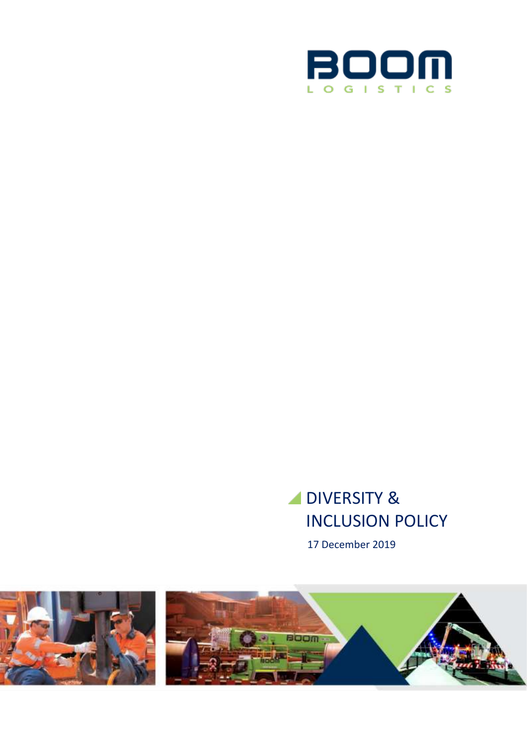

# **DIVERSITY &** INCLUSION POLICY

17 December 2019

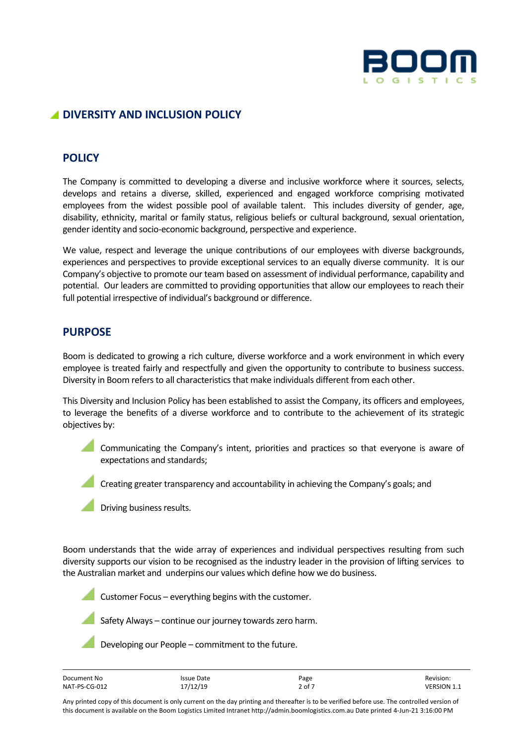

# **DIVERSITY AND INCLUSION POLICY**

## **POLICY**

The Company is committed to developing a diverse and inclusive workforce where it sources, selects, develops and retains a diverse, skilled, experienced and engaged workforce comprising motivated employees from the widest possible pool of available talent. This includes diversity of gender, age, disability, ethnicity, marital or family status, religious beliefs or cultural background, sexual orientation, gender identity and socio-economic background, perspective and experience.

We value, respect and leverage the unique contributions of our employees with diverse backgrounds, experiences and perspectives to provide exceptional services to an equally diverse community. It is our Company's objective to promote our team based on assessment of individual performance, capability and potential. Our leaders are committed to providing opportunities that allow our employees to reach their full potential irrespective of individual's background or difference.

#### **PURPOSE**

Boom is dedicated to growing a rich culture, diverse workforce and a work environment in which every employee is treated fairly and respectfully and given the opportunity to contribute to business success. Diversity in Boom refers to all characteristics that make individuals different from each other.

This Diversity and Inclusion Policy has been established to assist the Company, its officers and employees, to leverage the benefits of a diverse workforce and to contribute to the achievement of its strategic objectives by:

Communicating the Company's intent, priorities and practices so that everyone is aware of expectations and standards;

Creating greater transparency and accountability in achieving the Company's goals; and

Driving business results.

Boom understands that the wide array of experiences and individual perspectives resulting from such diversity supports our vision to be recognised as the industry leader in the provision of lifting services to the Australian market and underpins our values which define how we do business.

Customer Focus – everything begins with the customer.

Safety Always – continue our journey towards zero harm.

Developing our People – commitment to the future.

| Document No   | <b>Issue Date</b> | Page   | Revision:          |
|---------------|-------------------|--------|--------------------|
| NAT-PS-CG-012 | 17/12/19          | 2 of 7 | <b>VERSION 1.1</b> |

Any printed copy of this document is only current on the day printing and thereafter is to be verified before use. The controlled version of this document is available on the Boom Logistics Limited Intranet http://admin.boomlogistics.com.au Date printed 4-Jun-21 3:16:00 PM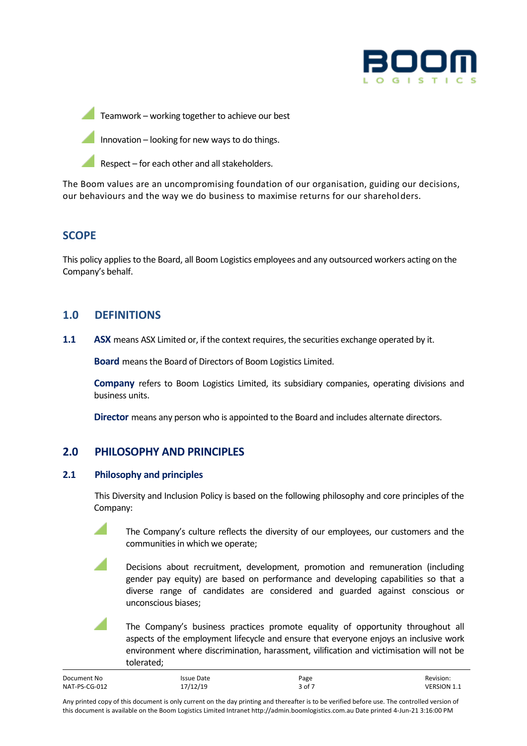

Teamwork – working together to achieve our best



Respect – for each other and all stakeholders.

The Boom values are an uncompromising foundation of our organisation, guiding our decisions, our behaviours and the way we do business to maximise returns for our shareholders.

# **SCOPE**

This policy applies to the Board, all Boom Logistics employees and any outsourced workers acting on the Company's behalf.

## **1.0 DEFINITIONS**

**1.1 ASX** means ASX Limited or, if the context requires, the securities exchange operated by it.

**Board** means the Board of Directors of Boom Logistics Limited.

**Company** refers to Boom Logistics Limited, its subsidiary companies, operating divisions and business units.

**Director** means any person who is appointed to the Board and includes alternate directors.

## **2.0 PHILOSOPHY AND PRINCIPLES**

#### **2.1 Philosophy and principles**

This Diversity and Inclusion Policy is based on the following philosophy and core principles of the Company:

The Company's culture reflects the diversity of our employees, our customers and the communities in which we operate;

Decisions about recruitment, development, promotion and remuneration (including gender pay equity) are based on performance and developing capabilities so that a diverse range of candidates are considered and guarded against conscious or unconscious biases;

The Company's business practices promote equality of opportunity throughout all aspects of the employment lifecycle and ensure that everyone enjoys an inclusive work environment where discrimination, harassment, vilification and victimisation will not be tolerated;

| Document No   | Issue Date | Page   | Revision:          |
|---------------|------------|--------|--------------------|
| NAT-PS-CG-012 | 17/12/19   | 3 of 7 | <b>VERSION 1.1</b> |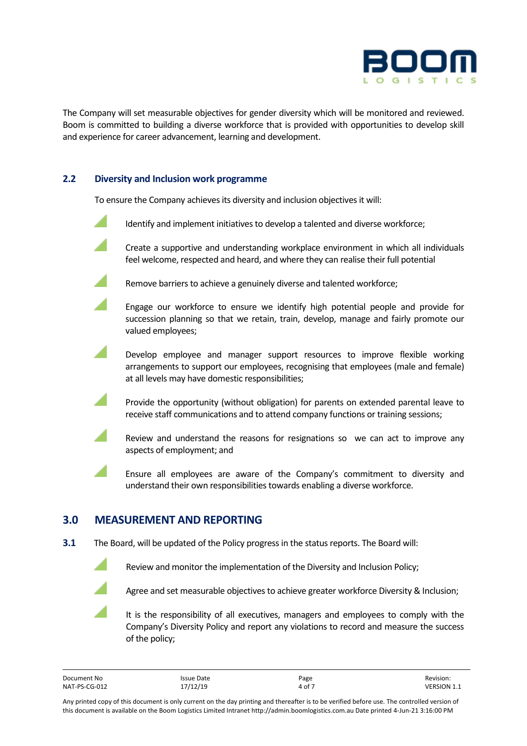

The Company will set measurable objectives for gender diversity which will be monitored and reviewed. Boom is committed to building a diverse workforce that is provided with opportunities to develop skill and experience for career advancement, learning and development.

#### **2.2 Diversity and Inclusion work programme**

To ensure the Company achieves its diversity and inclusion objectives it will:

- Identify and implement initiatives to develop a talented and diverse workforce;
- Create a supportive and understanding workplace environment in which all individuals feel welcome, respected and heard, and where they can realise their full potential

Remove barriers to achieve a genuinely diverse and talented workforce;

- Engage our workforce to ensure we identify high potential people and provide for succession planning so that we retain, train, develop, manage and fairly promote our valued employees;
- Develop employee and manager support resources to improve flexible working arrangements to support our employees, recognising that employees (male and female) at all levels may have domestic responsibilities;
- Provide the opportunity (without obligation) for parents on extended parental leave to receive staff communications and to attend company functions or training sessions;
- Review and understand the reasons for resignations so we can act to improve any aspects of employment; and
- Ensure all employees are aware of the Company's commitment to diversity and understand their own responsibilities towards enabling a diverse workforce.

## **3.0 MEASUREMENT AND REPORTING**

**3.1** The Board, will be updated of the Policy progress in the status reports. The Board will:



Review and monitor the implementation of the Diversity and Inclusion Policy;



It is the responsibility of all executives, managers and employees to comply with the Company's Diversity Policy and report any violations to record and measure the success of the policy;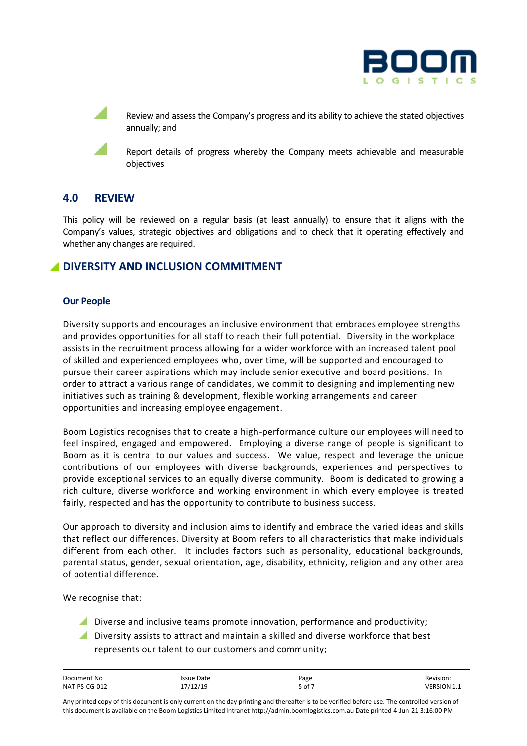

Review and assess the Company's progress and its ability to achieve the stated objectives annually; and

Report details of progress whereby the Company meets achievable and measurable objectives

## **4.0 REVIEW**

This policy will be reviewed on a regular basis (at least annually) to ensure that it aligns with the Company's values, strategic objectives and obligations and to check that it operating effectively and whether any changes are required.

## **DIVERSITY AND INCLUSION COMMITMENT**

#### **Our People**

Diversity supports and encourages an inclusive environment that embraces employee strengths and provides opportunities for all staff to reach their full potential. Diversity in the workplace assists in the recruitment process allowing for a wider workforce with an increased talent pool of skilled and experienced employees who, over time, will be supported and encouraged to pursue their career aspirations which may include senior executive and board positions. In order to attract a various range of candidates, we commit to designing and implementing new initiatives such as training & development, flexible working arrangements and career opportunities and increasing employee engagement.

Boom Logistics recognises that to create a high-performance culture our employees will need to feel inspired, engaged and empowered. Employing a diverse range of people is significant to Boom as it is central to our values and success. We value, respect and leverage the unique contributions of our employees with diverse backgrounds, experiences and perspectives to provide exceptional services to an equally diverse community. Boom is dedicated to growing a rich culture, diverse workforce and working environment in which every employee is treated fairly, respected and has the opportunity to contribute to business success.

Our approach to diversity and inclusion aims to identify and embrace the varied ideas and skills that reflect our differences. Diversity at Boom refers to all characteristics that make individuals different from each other. It includes factors such as personality, educational backgrounds, parental status, gender, sexual orientation, age, disability, ethnicity, religion and any other area of potential difference.

We recognise that:

- Diverse and inclusive teams promote innovation, performance and productivity;
- Diversity assists to attract and maintain a skilled and diverse workforce that best represents our talent to our customers and community;

| Document No   | Issue Date | Page   | Revision:          |
|---------------|------------|--------|--------------------|
| NAT-PS-CG-012 | 17/12/19   | 5 of 7 | <b>VERSION 1.1</b> |

Any printed copy of this document is only current on the day printing and thereafter is to be verified before use. The controlled version of this document is available on the Boom Logistics Limited Intranet http://admin.boomlogistics.com.au Date printed 4-Jun-21 3:16:00 PM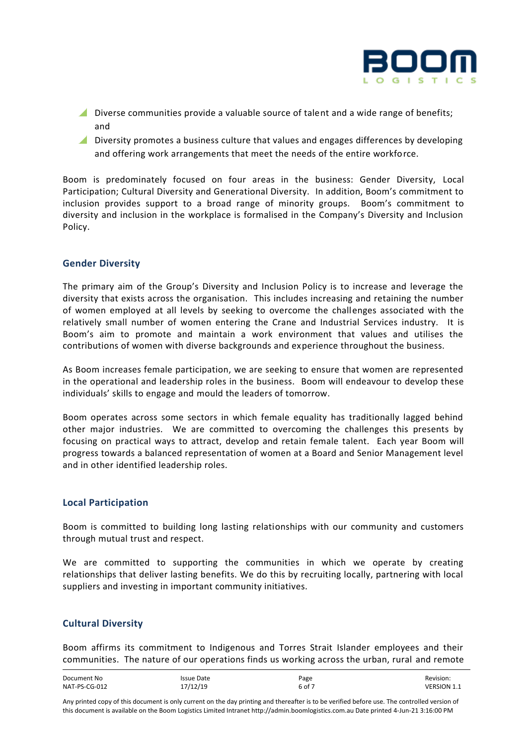

- Diverse communities provide a valuable source of talent and a wide range of benefits; and
- **A** Diversity promotes a business culture that values and engages differences by developing and offering work arrangements that meet the needs of the entire workforce.

Boom is predominately focused on four areas in the business: Gender Diversity, Local Participation; Cultural Diversity and Generational Diversity. In addition, Boom's commitment to inclusion provides support to a broad range of minority groups. Boom's commitment to diversity and inclusion in the workplace is formalised in the Company's Diversity and Inclusion Policy.

#### **Gender Diversity**

The primary aim of the Group's Diversity and Inclusion Policy is to increase and leverage the diversity that exists across the organisation. This includes increasing and retaining the number of women employed at all levels by seeking to overcome the challenges associated with the relatively small number of women entering the Crane and Industrial Services industry. It is Boom's aim to promote and maintain a work environment that values and utilises the contributions of women with diverse backgrounds and experience throughout the business.

As Boom increases female participation, we are seeking to ensure that women are represented in the operational and leadership roles in the business. Boom will endeavour to develop these individuals' skills to engage and mould the leaders of tomorrow.

Boom operates across some sectors in which female equality has traditionally lagged behind other major industries. We are committed to overcoming the challenges this presents by focusing on practical ways to attract, develop and retain female talent. Each year Boom will progress towards a balanced representation of women at a Board and Senior Management level and in other identified leadership roles.

#### **Local Participation**

Boom is committed to building long lasting relationships with our community and customers through mutual trust and respect.

We are committed to supporting the communities in which we operate by creating relationships that deliver lasting benefits. We do this by recruiting locally, partnering with local suppliers and investing in important community initiatives.

#### **Cultural Diversity**

Boom affirms its commitment to Indigenous and Torres Strait Islander employees and their communities. The nature of our operations finds us working across the urban, rural and remote

| Document No   | Issue Date | Page   | Revision:          |
|---------------|------------|--------|--------------------|
| NAT-PS-CG-012 | 17/12/19   | 6 of 7 | <b>VERSION 1.1</b> |

Any printed copy of this document is only current on the day printing and thereafter is to be verified before use. The controlled version of this document is available on the Boom Logistics Limited Intranet http://admin.boomlogistics.com.au Date printed 4-Jun-21 3:16:00 PM